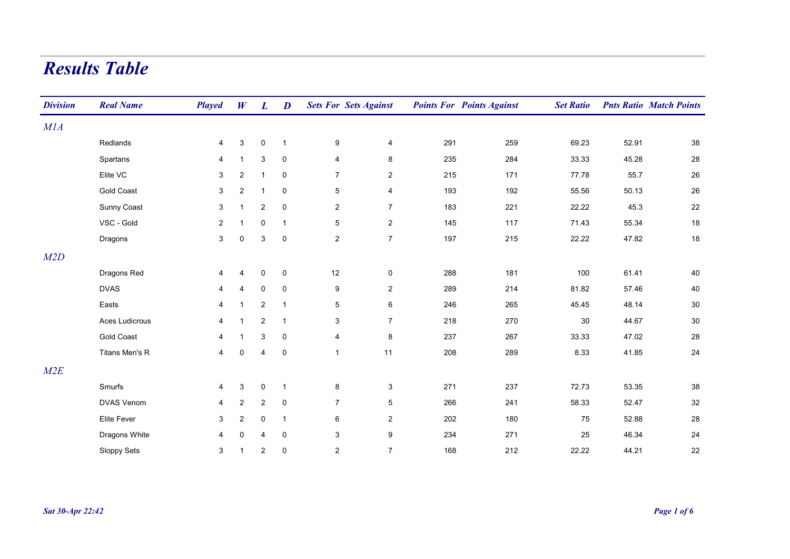## Results Table

| <b>Division</b> | <b>Real Name</b>  | <b>Played</b>  | W                       | $\bm{L}$                  | D            | <b>Sets For Sets Against</b> |                           |     | <b>Points For Points Against</b> | <b>Set Ratio</b> |       | <b>Pnts Ratio Match Points</b> |
|-----------------|-------------------|----------------|-------------------------|---------------------------|--------------|------------------------------|---------------------------|-----|----------------------------------|------------------|-------|--------------------------------|
| M1A             |                   |                |                         |                           |              |                              |                           |     |                                  |                  |       |                                |
|                 | Redlands          | 4              | 3                       | $\mathsf{O}\xspace$       | $\mathbf{1}$ | 9                            | $\overline{4}$            | 291 | 259                              | 69.23            | 52.91 | 38                             |
|                 | Spartans          | 4              | $\overline{1}$          | 3                         | 0            | 4                            | 8                         | 235 | 284                              | 33.33            | 45.28 | 28                             |
|                 | Elite VC          | 3              | $\overline{2}$          | $\mathbf{1}$              | $\pmb{0}$    | $\overline{7}$               | $\overline{2}$            | 215 | 171                              | 77.78            | 55.7  | 26                             |
|                 | <b>Gold Coast</b> | 3              | $\overline{2}$          | $\mathbf{1}$              | 0            | $\overline{5}$               | $\overline{4}$            | 193 | 192                              | 55.56            | 50.13 | 26                             |
|                 | Sunny Coast       | 3              | $\overline{1}$          | 2                         | $\mathbf 0$  | $\overline{2}$               | $\overline{7}$            | 183 | 221                              | 22.22            | 45.3  | 22                             |
|                 | VSC - Gold        | $\overline{a}$ | 1                       | $\mathbf 0$               | $\mathbf{1}$ | $\overline{5}$               | $\overline{2}$            | 145 | 117                              | 71.43            | 55.34 | 18                             |
|                 | Dragons           | $\mathbf{3}$   | $\mathsf 0$             | $\ensuremath{\mathsf{3}}$ | $\pmb{0}$    | $\overline{c}$               | $\overline{7}$            | 197 | 215                              | 22.22            | 47.82 | 18                             |
| M2D             |                   |                |                         |                           |              |                              |                           |     |                                  |                  |       |                                |
|                 | Dragons Red       | 4              | $\overline{4}$          | $\mathbf 0$               | $\mathsf 0$  | 12                           | 0                         | 288 | 181                              | 100              | 61.41 | 40                             |
|                 | <b>DVAS</b>       | 4              | $\overline{4}$          | 0                         | $\mathbf 0$  | 9                            | $\overline{2}$            | 289 | 214                              | 81.82            | 57.46 | 40                             |
|                 | Easts             | $\overline{4}$ | $\mathbf{1}$            | $\overline{\mathbf{c}}$   | $\mathbf{1}$ | $\,$ 5 $\,$                  | $\,6\,$                   | 246 | 265                              | 45.45            | 48.14 | $30\,$                         |
|                 | Aces Ludicrous    | 4              | $\overline{\mathbf{1}}$ | $\overline{2}$            | $\mathbf{1}$ | 3                            | $\overline{7}$            | 218 | 270                              | 30               | 44.67 | 30                             |
|                 | <b>Gold Coast</b> | 4              | $\mathbf 1$             | 3                         | $\pmb{0}$    | 4                            | 8                         | 237 | 267                              | 33.33            | 47.02 | 28                             |
|                 | Titans Men's R    | $\overline{4}$ | $\mathbf 0$             | 4                         | $\pmb{0}$    | $\mathbf{1}$                 | 11                        | 208 | 289                              | 8.33             | 41.85 | $24\,$                         |
| M2E             |                   |                |                         |                           |              |                              |                           |     |                                  |                  |       |                                |
|                 | Smurfs            | 4              | 3                       | $\pmb{0}$                 | $\mathbf{1}$ | 8                            | $\ensuremath{\mathsf{3}}$ | 271 | 237                              | 72.73            | 53.35 | 38                             |
|                 | <b>DVAS Venom</b> | 4              | $\sqrt{2}$              | $\overline{c}$            | $\pmb{0}$    | $\overline{7}$               | $5\phantom{.0}$           | 266 | 241                              | 58.33            | 52.47 | 32                             |
|                 | Elite Fever       | 3              | $\overline{c}$          | $\pmb{0}$                 | $\mathbf{1}$ | 6                            | $\overline{2}$            | 202 | 180                              | 75               | 52.88 | 28                             |
|                 | Dragons White     | 4              | $\mathbf 0$             | 4                         | $\pmb{0}$    | $\mathfrak{S}$               | $\boldsymbol{9}$          | 234 | 271                              | 25               | 46.34 | 24                             |
|                 | Sloppy Sets       | 3              | $\mathbf{1}$            | $\overline{\mathbf{c}}$   | $\mathbf 0$  | $\overline{2}$               | $\overline{7}$            | 168 | 212                              | 22.22            | 44.21 | 22                             |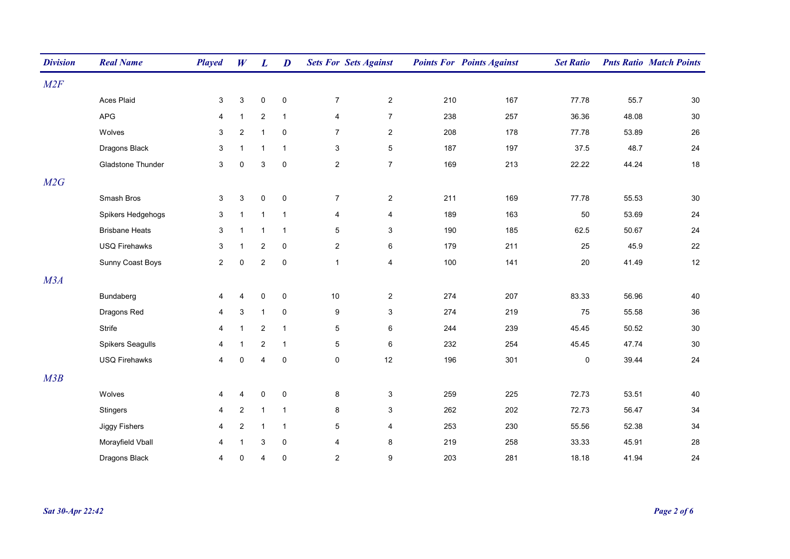| <b>Division</b> | <b>Real Name</b>         | <b>Played</b>  | W              | L                         | $\boldsymbol{D}$ | <b>Sets For Sets Against</b> |                           |     | <b>Points For Points Against</b> | <b>Set Ratio</b> |       | <b>Pnts Ratio Match Points</b> |
|-----------------|--------------------------|----------------|----------------|---------------------------|------------------|------------------------------|---------------------------|-----|----------------------------------|------------------|-------|--------------------------------|
| M2F             |                          |                |                |                           |                  |                              |                           |     |                                  |                  |       |                                |
|                 | Aces Plaid               | 3              | 3              | $\pmb{0}$                 | $\pmb{0}$        | $\overline{7}$               | $\overline{2}$            | 210 | 167                              | 77.78            | 55.7  | 30                             |
|                 | APG                      | 4              | $\mathbf{1}$   | $\boldsymbol{2}$          | $\mathbf{1}$     | 4                            | $\overline{7}$            | 238 | 257                              | 36.36            | 48.08 | 30                             |
|                 | Wolves                   | 3              | $\overline{c}$ | $\mathbf{1}$              | 0                | $\overline{7}$               | $\overline{2}$            | 208 | 178                              | 77.78            | 53.89 | 26                             |
|                 | Dragons Black            | 3              | $\mathbf 1$    | $\mathbf{1}$              | $\mathbf{1}$     | $\mathfrak{S}$               | $\,$ 5 $\,$               | 187 | 197                              | 37.5             | 48.7  | 24                             |
|                 | <b>Gladstone Thunder</b> | 3              | $\mathbf 0$    | $\ensuremath{\mathsf{3}}$ | $\mathbf 0$      | $\overline{c}$               | $\overline{7}$            | 169 | 213                              | 22.22            | 44.24 | 18                             |
| M2G             |                          |                |                |                           |                  |                              |                           |     |                                  |                  |       |                                |
|                 | Smash Bros               | 3              | $\sqrt{3}$     | $\mathsf 0$               | $\pmb{0}$        | $\boldsymbol{7}$             | $\overline{2}$            | 211 | 169                              | 77.78            | 55.53 | $30\,$                         |
|                 | Spikers Hedgehogs        | $\mathsf 3$    | $\mathbf{1}$   | $\mathbf{1}$              | $\mathbf{1}$     | 4                            | $\overline{4}$            | 189 | 163                              | 50               | 53.69 | 24                             |
|                 | <b>Brisbane Heats</b>    | 3              | $\overline{1}$ | $\mathbf{1}$              | $\mathbf{1}$     | 5                            | 3                         | 190 | 185                              | 62.5             | 50.67 | 24                             |
|                 | <b>USQ Firehawks</b>     | 3              | $\mathbf{1}$   | $\overline{2}$            | $\mathbf 0$      | $\overline{2}$               | 6                         | 179 | 211                              | 25               | 45.9  | 22                             |
|                 | Sunny Coast Boys         | $\overline{c}$ | $\pmb{0}$      | $\boldsymbol{2}$          | $\pmb{0}$        | $\mathbf{1}$                 | $\overline{\mathbf{4}}$   | 100 | 141                              | 20               | 41.49 | 12                             |
| M3A             |                          |                |                |                           |                  |                              |                           |     |                                  |                  |       |                                |
|                 | Bundaberg                | 4              | 4              | $\pmb{0}$                 | $\pmb{0}$        | 10                           | $\overline{a}$            | 274 | 207                              | 83.33            | 56.96 | 40                             |
|                 | Dragons Red              | 4              | 3              | $\mathbf{1}$              | $\mathbf 0$      | 9                            | 3                         | 274 | 219                              | 75               | 55.58 | 36                             |
|                 | Strife                   | 4              | $\mathbf{1}$   | $\boldsymbol{2}$          | $\mathbf{1}$     | $\overline{5}$               | 6                         | 244 | 239                              | 45.45            | 50.52 | $30\,$                         |
|                 | <b>Spikers Seagulls</b>  | 4              | $\mathbf{1}$   | $\boldsymbol{2}$          | $\mathbf{1}$     | $\sqrt{5}$                   | 6                         | 232 | 254                              | 45.45            | 47.74 | 30                             |
|                 | <b>USQ Firehawks</b>     | 4              | $\pmb{0}$      | 4                         | $\mathbf 0$      | $\mathsf{O}\xspace$          | 12                        | 196 | 301                              | 0                | 39.44 | 24                             |
| M3B             |                          |                |                |                           |                  |                              |                           |     |                                  |                  |       |                                |
|                 | Wolves                   | 4              | 4              | $\pmb{0}$                 | $\pmb{0}$        | 8                            | $\ensuremath{\mathsf{3}}$ | 259 | 225                              | 72.73            | 53.51 | 40                             |
|                 | <b>Stingers</b>          | 4              | $\sqrt{2}$     | $\mathbf{1}$              | $\mathbf{1}$     | 8                            | 3                         | 262 | 202                              | 72.73            | 56.47 | 34                             |
|                 | Jiggy Fishers            | 4              | $\overline{c}$ | $\mathbf{1}$              | $\mathbf{1}$     | $\sqrt{5}$                   | 4                         | 253 | 230                              | 55.56            | 52.38 | 34                             |
|                 | Morayfield Vball         | 4              | $\mathbf{1}$   | $\ensuremath{\mathsf{3}}$ | $\pmb{0}$        | $\overline{\mathbf{4}}$      | $\bf 8$                   | 219 | 258                              | 33.33            | 45.91 | $28\,$                         |
|                 | Dragons Black            | 4              | 0              | 4                         | $\mathbf 0$      | $\overline{2}$               | 9                         | 203 | 281                              | 18.18            | 41.94 | 24                             |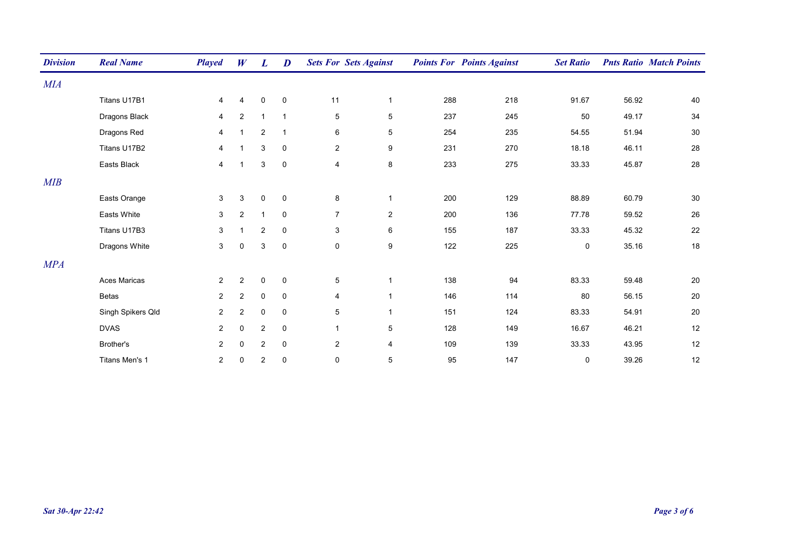| <b>Division</b> | <b>Real Name</b>   | <b>Played</b>  | W              | L                       | D              |                         | <b>Sets For Sets Against</b> |     | <b>Points For Points Against</b> | <b>Set Ratio</b> |       | <b>Pnts Ratio Match Points</b> |
|-----------------|--------------------|----------------|----------------|-------------------------|----------------|-------------------------|------------------------------|-----|----------------------------------|------------------|-------|--------------------------------|
| MIA             |                    |                |                |                         |                |                         |                              |     |                                  |                  |       |                                |
|                 | Titans U17B1       | 4              | 4              | $\pmb{0}$               | $\mathsf 0$    | 11                      | $\mathbf{1}$                 | 288 | 218                              | 91.67            | 56.92 | 40                             |
|                 | Dragons Black      | $\overline{4}$ | $\overline{2}$ | $\mathbf{1}$            | $\overline{1}$ | $\overline{5}$          | 5                            | 237 | 245                              | 50               | 49.17 | 34                             |
|                 | Dragons Red        | 4              | $\overline{1}$ | $\overline{2}$          | $\overline{1}$ | 6                       | 5                            | 254 | 235                              | 54.55            | 51.94 | $30\,$                         |
|                 | Titans U17B2       | 4              | $\overline{1}$ | 3                       | $\mathbf 0$    | $\overline{c}$          | 9                            | 231 | 270                              | 18.18            | 46.11 | 28                             |
|                 | Easts Black        | 4              | $\overline{1}$ | 3                       | $\mathsf 0$    | $\overline{\mathbf{4}}$ | 8                            | 233 | 275                              | 33.33            | 45.87 | 28                             |
| MIB             |                    |                |                |                         |                |                         |                              |     |                                  |                  |       |                                |
|                 | Easts Orange       | 3              | 3              | $\mathbf 0$             | $\mathsf 0$    | 8                       | $\mathbf{1}$                 | 200 | 129                              | 88.89            | 60.79 | 30                             |
|                 | <b>Easts White</b> | 3              | $\overline{2}$ | $\mathbf{1}$            | $\pmb{0}$      | $\overline{7}$          | $\overline{c}$               | 200 | 136                              | 77.78            | 59.52 | 26                             |
|                 | Titans U17B3       | 3              | $\overline{1}$ | 2                       | $\mathbf 0$    | 3                       | 6                            | 155 | 187                              | 33.33            | 45.32 | 22                             |
|                 | Dragons White      | 3              | $\mathbf 0$    | 3                       | $\mathsf 0$    | $\mathbf 0$             | 9                            | 122 | 225                              | 0                | 35.16 | 18                             |
| MPA             |                    |                |                |                         |                |                         |                              |     |                                  |                  |       |                                |
|                 | Aces Maricas       | $\overline{2}$ | $\overline{2}$ | $\mathbf 0$             | $\mathbf 0$    | $\,$ 5 $\,$             | $\mathbf{1}$                 | 138 | 94                               | 83.33            | 59.48 | 20                             |
|                 | <b>Betas</b>       | $\overline{2}$ | $\overline{c}$ | $\pmb{0}$               | $\mathbf 0$    | 4                       | 1                            | 146 | 114                              | 80               | 56.15 | 20                             |
|                 | Singh Spikers Qld  | $\overline{2}$ | $\overline{2}$ | 0                       | $\mathbf 0$    | $\overline{5}$          | $\mathbf{1}$                 | 151 | 124                              | 83.33            | 54.91 | 20                             |
|                 | <b>DVAS</b>        | $\overline{2}$ | 0              | $\overline{\mathbf{c}}$ | $\pmb{0}$      | $\mathbf{1}$            | 5                            | 128 | 149                              | 16.67            | 46.21 | 12                             |
|                 | Brother's          | $\overline{2}$ | 0              | 2                       | $\mathsf 0$    | $\overline{c}$          | $\overline{\mathbf{4}}$      | 109 | 139                              | 33.33            | 43.95 | 12                             |
|                 | Titans Men's 1     | $\overline{2}$ | 0              | $\overline{\mathbf{c}}$ | $\mathbf 0$    | $\mathbf 0$             | 5                            | 95  | 147                              | $\mathbf 0$      | 39.26 | $12$                           |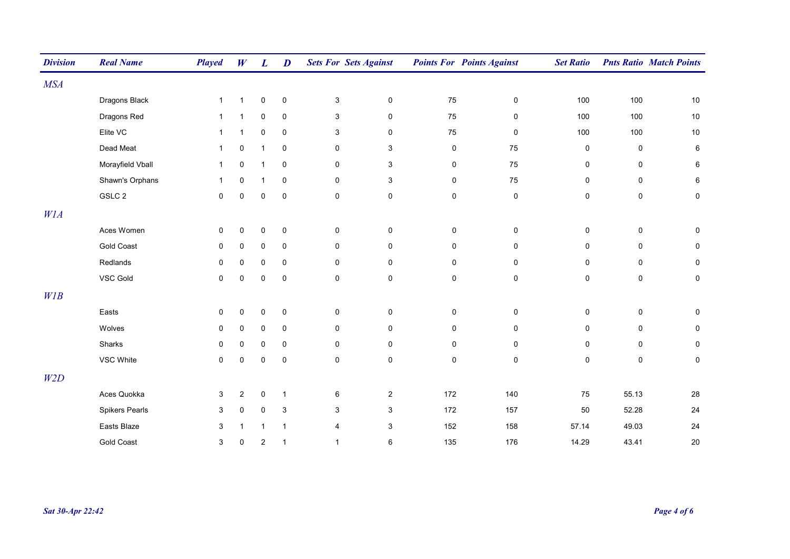| <b>Division</b> | <b>Real Name</b>  | <b>Played</b> | W              | L                       | $\boldsymbol{D}$          | <b>Sets For Sets Against</b> |                     |              | <b>Points For Points Against</b> | <b>Set Ratio</b>    |           | <b>Pnts Ratio Match Points</b> |
|-----------------|-------------------|---------------|----------------|-------------------------|---------------------------|------------------------------|---------------------|--------------|----------------------------------|---------------------|-----------|--------------------------------|
| <b>MSA</b>      |                   |               |                |                         |                           |                              |                     |              |                                  |                     |           |                                |
|                 | Dragons Black     | $\mathbf{1}$  | $\mathbf{1}$   | $\pmb{0}$               | $\pmb{0}$                 | $\mathsf 3$                  | $\mathsf{O}\xspace$ | 75           | $\pmb{0}$                        | 100                 | 100       | 10                             |
|                 | Dragons Red       | $\mathbf{1}$  | $\mathbf{1}$   | 0                       | $\mathbf 0$               | $\ensuremath{\mathsf{3}}$    | 0                   | ${\bf 75}$   | 0                                | 100                 | 100       | $10$                           |
|                 | Elite VC          | $\mathbf{1}$  | $\mathbf{1}$   | 0                       | $\mathbf 0$               | 3                            | 0                   | 75           | 0                                | 100                 | 100       | 10                             |
|                 | Dead Meat         | $\mathbf{1}$  | 0              | $\mathbf{1}$            | $\mathsf 0$               | 0                            | 3                   | $\pmb{0}$    | 75                               | 0                   | $\pmb{0}$ | 6                              |
|                 | Morayfield Vball  | $\mathbf{1}$  | $\mathbf 0$    | $\mathbf{1}$            | $\pmb{0}$                 | 0                            | 3                   | $\pmb{0}$    | 75                               | 0                   | 0         | 6                              |
|                 | Shawn's Orphans   | $\mathbf{1}$  | $\mathbf 0$    | $\mathbf{1}$            | $\mathbf 0$               | 0                            | 3                   | $\mathbf 0$  | 75                               | 0                   | 0         | 6                              |
|                 | GSLC 2            | 0             | $\mathbf 0$    | 0                       | $\pmb{0}$                 | $\pmb{0}$                    | 0                   | $\pmb{0}$    | $\pmb{0}$                        | 0                   | $\pmb{0}$ | $\mathbf 0$                    |
| W1A             |                   |               |                |                         |                           |                              |                     |              |                                  |                     |           |                                |
|                 | Aces Women        | 0             | $\pmb{0}$      | $\pmb{0}$               | $\pmb{0}$                 | 0                            | $\pmb{0}$           | $\pmb{0}$    | $\pmb{0}$                        | $\pmb{0}$           | $\pmb{0}$ | $\mathbf 0$                    |
|                 | <b>Gold Coast</b> | 0             | $\mathbf 0$    | $\mathsf 0$             | $\mathbf 0$               | $\pmb{0}$                    | $\mathsf 0$         | $\mathsf{O}$ | $\pmb{0}$                        | 0                   | $\pmb{0}$ | $\mathbf 0$                    |
|                 | Redlands          | $\mathsf 0$   | $\mathbf 0$    | 0                       | $\mathbf 0$               | $\mathsf{O}\phantom{0}$      | $\mathsf 0$         | 0            | $\mathbf 0$                      | $\mathbf 0$         | $\pmb{0}$ | $\mathbf 0$                    |
|                 | VSC Gold          | 0             | $\mathbf 0$    | 0                       | $\pmb{0}$                 | $\mathsf{O}\xspace$          | $\mathsf{O}\xspace$ | $\mathsf 0$  | $\mathsf 0$                      | $\mathsf{O}\xspace$ | $\pmb{0}$ | $\mathsf 0$                    |
| WIB             |                   |               |                |                         |                           |                              |                     |              |                                  |                     |           |                                |
|                 | Easts             | 0             | $\mathbf 0$    | $\pmb{0}$               | $\pmb{0}$                 | 0                            | $\pmb{0}$           | $\pmb{0}$    | 0                                | $\pmb{0}$           | $\pmb{0}$ | $\mathbf 0$                    |
|                 | Wolves            | 0             | $\mathbf 0$    | 0                       | $\mathbf 0$               | 0                            | 0                   | $\pmb{0}$    | 0                                | 0                   | 0         | $\mathbf 0$                    |
|                 | Sharks            | 0             | 0              | 0                       | $\mathbf 0$               | 0                            | 0                   | 0            | $\mathbf 0$                      | 0                   | $\pmb{0}$ | $\mathbf 0$                    |
|                 | VSC White         | 0             | $\mathbf 0$    | 0                       | $\pmb{0}$                 | $\pmb{0}$                    | $\pmb{0}$           | $\mathsf 0$  | $\pmb{0}$                        | 0                   | $\pmb{0}$ | $\mathbf 0$                    |
| W2D             |                   |               |                |                         |                           |                              |                     |              |                                  |                     |           |                                |
|                 | Aces Quokka       | $\mathbf{3}$  | $\overline{2}$ | $\mathsf 0$             | $\mathbf{1}$              | $\,6\,$                      | $\overline{c}$      | 172          | 140                              | 75                  | 55.13     | $28\,$                         |
|                 | Spikers Pearls    | $\mathbf{3}$  | $\mathbf 0$    | $\mathsf 0$             | $\ensuremath{\mathsf{3}}$ | 3                            | 3                   | 172          | 157                              | 50                  | 52.28     | 24                             |
|                 | Easts Blaze       | $\mathsf 3$   | $\mathbf{1}$   | $\mathbf{1}$            | $\mathbf{1}$              | 4                            | 3                   | 152          | 158                              | 57.14               | 49.03     | 24                             |
|                 | <b>Gold Coast</b> | $\mathsf 3$   | 0              | $\overline{\mathbf{c}}$ | $\mathbf{1}$              | $\mathbf{1}$                 | 6                   | 135          | 176                              | 14.29               | 43.41     | 20                             |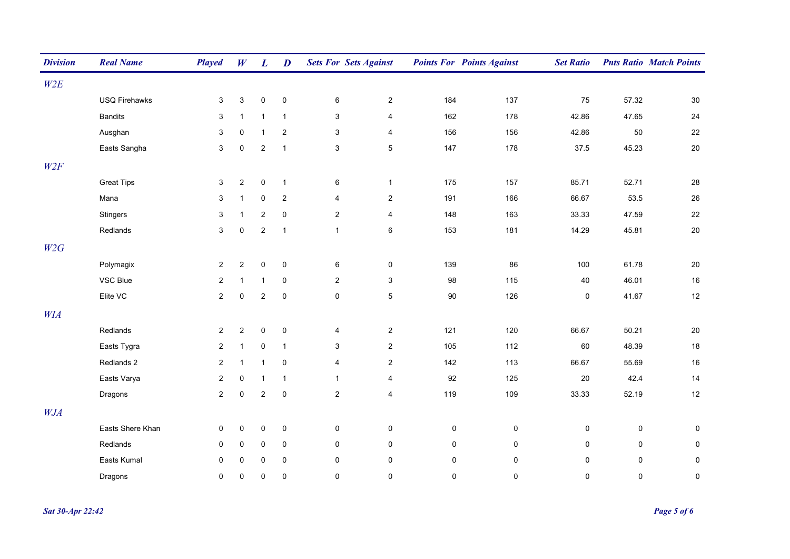| <b>Division</b> | <b>Real Name</b>     | <b>Played</b>  | W              | $\boldsymbol{L}$ | $\boldsymbol{D}$ | <b>Sets For Sets Against</b> |                         |             | <b>Points For Points Against</b> | <b>Set Ratio</b> |             | <b>Pnts Ratio Match Points</b> |
|-----------------|----------------------|----------------|----------------|------------------|------------------|------------------------------|-------------------------|-------------|----------------------------------|------------------|-------------|--------------------------------|
| W2E             |                      |                |                |                  |                  |                              |                         |             |                                  |                  |             |                                |
|                 | <b>USQ Firehawks</b> | 3              | $\mathbf{3}$   | $\pmb{0}$        | $\mathbf 0$      | 6                            | $\overline{2}$          | 184         | 137                              | 75               | 57.32       | $30\,$                         |
|                 | <b>Bandits</b>       | 3              | $\mathbf{1}$   | $\mathbf{1}$     | $\mathbf{1}$     | 3                            | 4                       | 162         | 178                              | 42.86            | 47.65       | 24                             |
|                 | Ausghan              | 3              | $\pmb{0}$      | $\mathbf{1}$     | $\overline{2}$   | $\mathbf 3$                  | $\overline{\mathbf{4}}$ | 156         | 156                              | 42.86            | 50          | 22                             |
|                 | Easts Sangha         | $\mathbf{3}$   | $\mathbf 0$    | $\overline{c}$   | $\mathbf{1}$     | $\mathbf{3}$                 | 5                       | 147         | 178                              | 37.5             | 45.23       | 20                             |
| W2F             |                      |                |                |                  |                  |                              |                         |             |                                  |                  |             |                                |
|                 | <b>Great Tips</b>    | 3              | $\overline{2}$ | $\pmb{0}$        | $\mathbf{1}$     | $\,6\,$                      | $\mathbf{1}$            | 175         | 157                              | 85.71            | 52.71       | 28                             |
|                 | Mana                 | 3              | $\mathbf{1}$   | $\pmb{0}$        | $\overline{2}$   | 4                            | $\overline{c}$          | 191         | 166                              | 66.67            | 53.5        | 26                             |
|                 | Stingers             | 3              | $\mathbf{1}$   | $\sqrt{2}$       | $\mathbf 0$      | $\overline{2}$               | $\overline{\mathbf{4}}$ | 148         | 163                              | 33.33            | 47.59       | 22                             |
|                 | Redlands             | 3              | $\mathbf 0$    | $\overline{c}$   | $\overline{1}$   | $\mathbf{1}$                 | 6                       | 153         | 181                              | 14.29            | 45.81       | 20                             |
| W2G             |                      |                |                |                  |                  |                              |                         |             |                                  |                  |             |                                |
|                 | Polymagix            | $\overline{2}$ | $\overline{2}$ | $\pmb{0}$        | $\mathbf 0$      | $\,6\,$                      | 0                       | 139         | 86                               | 100              | 61.78       | 20                             |
|                 | VSC Blue             | $\overline{2}$ | $\mathbf{1}$   | $\mathbf{1}$     | 0                | $\overline{2}$               | 3                       | 98          | 115                              | 40               | 46.01       | 16                             |
|                 | Elite VC             | $\overline{2}$ | $\pmb{0}$      | $\sqrt{2}$       | $\pmb{0}$        | $\mathsf{O}\xspace$          | $\,$ 5 $\,$             | $90\,$      | 126                              | $\mathbf 0$      | 41.67       | 12                             |
| <b>WIA</b>      |                      |                |                |                  |                  |                              |                         |             |                                  |                  |             |                                |
|                 | Redlands             | $\overline{2}$ | $\overline{c}$ | $\pmb{0}$        | $\mathbf 0$      | $\overline{4}$               | $\overline{2}$          | 121         | 120                              | 66.67            | 50.21       | 20                             |
|                 | Easts Tygra          | $\overline{2}$ | $\mathbf{1}$   | $\pmb{0}$        | $\mathbf{1}$     | 3                            | $\overline{2}$          | 105         | 112                              | 60               | 48.39       | 18                             |
|                 | Redlands 2           | $\overline{a}$ | $\mathbf{1}$   | $\mathbf{1}$     | $\pmb{0}$        | 4                            | $\overline{2}$          | 142         | 113                              | 66.67            | 55.69       | 16                             |
|                 | Easts Varya          | $\overline{c}$ | $\mathbf 0$    | $\mathbf{1}$     | $\mathbf{1}$     | $\mathbf{1}$                 | $\overline{\mathbf{4}}$ | 92          | 125                              | $20\,$           | 42.4        | 14                             |
|                 | Dragons              | $\overline{2}$ | $\mathbf 0$    | $\sqrt{2}$       | 0                | $\overline{2}$               | $\overline{\mathbf{4}}$ | 119         | 109                              | 33.33            | 52.19       | 12                             |
| <b>WJA</b>      |                      |                |                |                  |                  |                              |                         |             |                                  |                  |             |                                |
|                 | Easts Shere Khan     | 0              | $\pmb{0}$      | $\pmb{0}$        | $\pmb{0}$        | $\pmb{0}$                    | $\pmb{0}$               | $\mathbf 0$ | $\pmb{0}$                        | 0                | $\pmb{0}$   | $\pmb{0}$                      |
|                 | Redlands             | 0              | 0              | 0                | $\mathbf 0$      | $\mathbf 0$                  | 0                       | 0           | $\mathbf 0$                      | 0                | $\mathbf 0$ | $\mathsf 0$                    |
|                 | Easts Kumal          | 0              | $\mathbf 0$    | $\pmb{0}$        | $\mathbf 0$      | $\pmb{0}$                    | $\mathsf 0$             | $\mathbf 0$ | $\mathbf 0$                      | 0                | 0           | $\pmb{0}$                      |
|                 | Dragons              | 0              | $\Omega$       | 0                | $\Omega$         | $\mathbf 0$                  | $\Omega$                | $\mathbf 0$ | $\mathbf 0$                      | $\mathbf 0$      | $\mathbf 0$ | $\mathbf 0$                    |